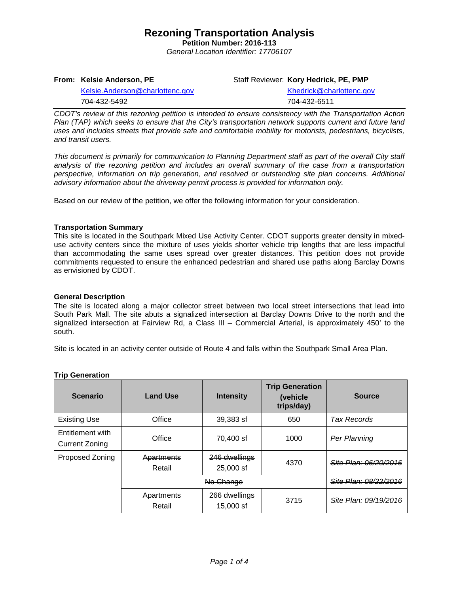**Petition Number: 2016-113** *General Location Identifier: 17706107*

**From: Kelsie Anderson, PE**

Staff Reviewer: **Kory Hedrick, PE, PMP**

[Kelsie.Anderson@charlottenc.gov](mailto:Kelsie.Anderson@charlottenc.gov) 704-432-5492

[Khedrick@charlottenc.gov](file://CHARLOTTE/CoCDFS/Planning/Applications/GIS%201/Development%20Services/Land_Development/Rezoning/2016/2016-110/Khedrick@charlottenc.gov) 704-432-6511

*CDOT's review of this rezoning petition is intended to ensure consistency with the Transportation Action Plan (TAP) which seeks to ensure that the City's transportation network supports current and future land uses and includes streets that provide safe and comfortable mobility for motorists, pedestrians, bicyclists, and transit users.*

*This document is primarily for communication to Planning Department staff as part of the overall City staff analysis of the rezoning petition and includes an overall summary of the case from a transportation perspective, information on trip generation, and resolved or outstanding site plan concerns. Additional advisory information about the driveway permit process is provided for information only.*

Based on our review of the petition, we offer the following information for your consideration.

## **Transportation Summary**

This site is located in the Southpark Mixed Use Activity Center. CDOT supports greater density in mixeduse activity centers since the mixture of uses yields shorter vehicle trip lengths that are less impactful than accommodating the same uses spread over greater distances. This petition does not provide commitments requested to ensure the enhanced pedestrian and shared use paths along Barclay Downs as envisioned by CDOT.

#### **General Description**

The site is located along a major collector street between two local street intersections that lead into South Park Mall. The site abuts a signalized intersection at Barclay Downs Drive to the north and the signalized intersection at Fairview Rd, a Class III – Commercial Arterial, is approximately 450' to the south.

Site is located in an activity center outside of Route 4 and falls within the Southpark Small Area Plan.

| <b>Scenario</b>                           | <b>Land Use</b>      | <b>Intensity</b>                 | <b>Trip Generation</b><br>(vehicle<br>trips/day) | <b>Source</b>         |  |
|-------------------------------------------|----------------------|----------------------------------|--------------------------------------------------|-----------------------|--|
| <b>Existing Use</b>                       | Office               | 39,383 sf                        | 650                                              | <b>Tax Records</b>    |  |
| Entitlement with<br><b>Current Zoning</b> | Office               | 70,400 sf                        | 1000                                             | Per Planning          |  |
| Proposed Zoning                           | Apartments<br>Retail | 246 dwellings<br>$25,000$ sf     | 4370                                             | Site Plan: 06/20/2016 |  |
|                                           |                      | <del>Site Plan: 08/22/2016</del> |                                                  |                       |  |
|                                           | Apartments<br>Retail | 266 dwellings<br>15,000 sf       | 3715                                             | Site Plan: 09/19/2016 |  |

#### **Trip Generation**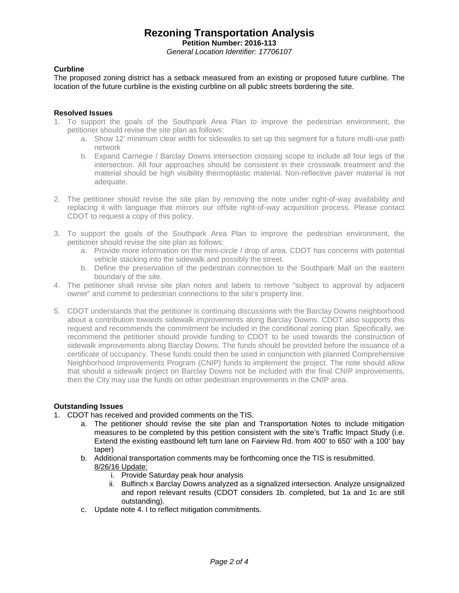**Petition Number: 2016-113**

*General Location Identifier: 17706107*

## **Curbline**

The proposed zoning district has a setback measured from an existing or proposed future curbline. The location of the future curbline is the existing curbline on all public streets bordering the site.

#### **Resolved Issues**

- 1. To support the goals of the Southpark Area Plan to improve the pedestrian environment, the petitioner should revise the site plan as follows:
	- a. Show 12' minimum clear width for sidewalks to set up this segment for a future multi-use path network
	- b. Expand Carnegie / Barclay Downs intersection crossing scope to include all four legs of the intersection. All four approaches should be consistent in their crosswalk treatment and the material should be high visibility thermoplastic material. Non-reflective paver material is not adequate.
- 2. The petitioner should revise the site plan by removing the note under right-of-way availability and replacing it with language that mirrors our offsite right-of-way acquisition process. Please contact CDOT to request a copy of this policy.
- 3. To support the goals of the Southpark Area Plan to improve the pedestrian environment, the petitioner should revise the site plan as follows:
	- a. Provide more information on the mini-circle / drop of area. CDOT has concerns with potential vehicle stacking into the sidewalk and possibly the street.
	- b. Define the preservation of the pedestrian connection to the Southpark Mall on the eastern boundary of the site.
- 4. The petitioner shall revise site plan notes and labels to remove "subject to approval by adjacent owner" and commit to pedestrian connections to the site's property line.
- 5. CDOT understands that the petitioner is continuing discussions with the Barclay Downs neighborhood about a contribution towards sidewalk improvements along Barclay Downs. CDOT also supports this request and recommends the commitment be included in the conditional zoning plan. Specifically, we recommend the petitioner should provide funding to CDOT to be used towards the construction of sidewalk improvements along Barclay Downs. The funds should be provided before the issuance of a certificate of occupancy. These funds could then be used in conjunction with planned Comprehensive Neighborhood Improvements Program (CNIP) funds to implement the project. The note should allow that should a sidewalk project on Barclay Downs not be included with the final CNIP improvements, then the City may use the funds on other pedestrian improvements in the CNIP area.

#### **Outstanding Issues**

- 1. CDOT has received and provided comments on the TIS.
	- a. The petitioner should revise the site plan and Transportation Notes to include mitigation measures to be completed by this petition consistent with the site's Traffic Impact Study (i.e. Extend the existing eastbound left turn lane on Fairview Rd. from 400' to 650' with a 100' bay taper)
	- b. Additional transportation comments may be forthcoming once the TIS is resubmitted. 8/26/16 Update:
		- i. Provide Saturday peak hour analysis
		- ii. Bulfinch x Barclay Downs analyzed as a signalized intersection. Analyze unsignalized and report relevant results (CDOT considers 1b. completed, but 1a and 1c are still outstanding).
	- c. Update note 4. I to reflect mitigation commitments.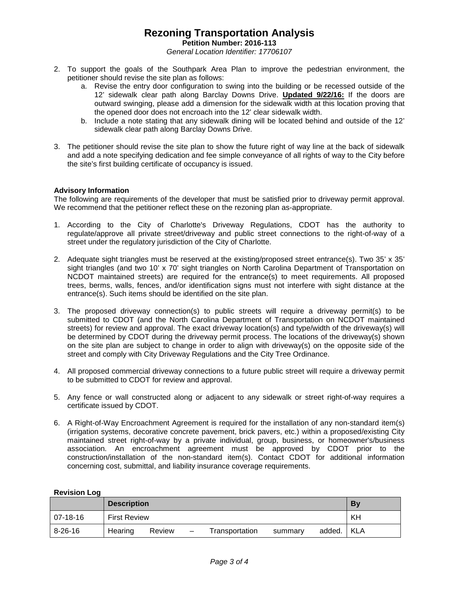**Petition Number: 2016-113**

*General Location Identifier: 17706107*

- 2. To support the goals of the Southpark Area Plan to improve the pedestrian environment, the petitioner should revise the site plan as follows:
	- a. Revise the entry door configuration to swing into the building or be recessed outside of the 12' sidewalk clear path along Barclay Downs Drive. **Updated 9/22/16:** If the doors are outward swinging, please add a dimension for the sidewalk width at this location proving that the opened door does not encroach into the 12' clear sidewalk width.
	- b. Include a note stating that any sidewalk dining will be located behind and outside of the 12' sidewalk clear path along Barclay Downs Drive.
- 3. The petitioner should revise the site plan to show the future right of way line at the back of sidewalk and add a note specifying dedication and fee simple conveyance of all rights of way to the City before the site's first building certificate of occupancy is issued.

## **Advisory Information**

The following are requirements of the developer that must be satisfied prior to driveway permit approval. We recommend that the petitioner reflect these on the rezoning plan as-appropriate.

- 1. According to the City of Charlotte's Driveway Regulations, CDOT has the authority to regulate/approve all private street/driveway and public street connections to the right-of-way of a street under the regulatory jurisdiction of the City of Charlotte.
- 2. Adequate sight triangles must be reserved at the existing/proposed street entrance(s). Two 35' x 35' sight triangles (and two 10' x 70' sight triangles on North Carolina Department of Transportation on NCDOT maintained streets) are required for the entrance(s) to meet requirements. All proposed trees, berms, walls, fences, and/or identification signs must not interfere with sight distance at the entrance(s). Such items should be identified on the site plan.
- 3. The proposed driveway connection(s) to public streets will require a driveway permit(s) to be submitted to CDOT (and the North Carolina Department of Transportation on NCDOT maintained streets) for review and approval. The exact driveway location(s) and type/width of the driveway(s) will be determined by CDOT during the driveway permit process. The locations of the driveway(s) shown on the site plan are subject to change in order to align with driveway(s) on the opposite side of the street and comply with City Driveway Regulations and the City Tree Ordinance.
- 4. All proposed commercial driveway connections to a future public street will require a driveway permit to be submitted to CDOT for review and approval.
- 5. Any fence or wall constructed along or adjacent to any sidewalk or street right-of-way requires a certificate issued by CDOT.
- 6. A Right-of-Way Encroachment Agreement is required for the installation of any non-standard item(s) (irrigation systems, decorative concrete pavement, brick pavers, etc.) within a proposed/existing City maintained street right-of-way by a private individual, group, business, or homeowner's/business association. An encroachment agreement must be approved by CDOT prior to the construction/installation of the non-standard item(s). Contact CDOT for additional information concerning cost, submittal, and liability insurance coverage requirements.

|               | <b>Description</b>  |        |                   |                |         |        | By    |
|---------------|---------------------|--------|-------------------|----------------|---------|--------|-------|
| $ 07-18-16 $  | <b>First Review</b> |        |                   |                |         |        | KH    |
| $8 - 26 - 16$ | Hearing             | Review | $\qquad \qquad -$ | Transportation | summary | added. | l KLA |

## **Revision Log**